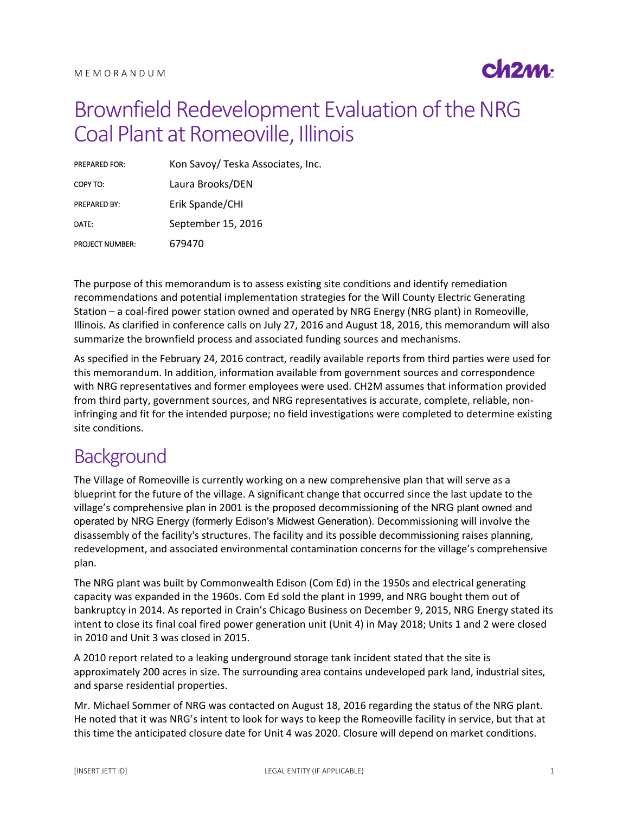

# Brownfield Redevelopment Evaluation of the NRG Coal Plant at Romeoville, Illinois

| <b>PREPARED FOR:</b>   | Kon Savoy/ Teska Associates, Inc. |
|------------------------|-----------------------------------|
| COPY TO:               | Laura Brooks/DEN                  |
| <b>PREPARED BY:</b>    | Erik Spande/CHI                   |
| DATE:                  | September 15, 2016                |
| <b>PROJECT NUMBER:</b> | 679470                            |

The purpose of this memorandum is to assess existing site conditions and identify remediation recommendations and potential implementation strategies for the Will County Electric Generating Station – a coal-fired power station owned and operated by NRG Energy (NRG plant) in Romeoville, Illinois. As clarified in conference calls on July 27, 2016 and August 18, 2016, this memorandum will also summarize the brownfield process and associated funding sources and mechanisms.

As specified in the February 24, 2016 contract, readily available reports from third parties were used for this memorandum. In addition, information available from government sources and correspondence with NRG representatives and former employees were used. CH2M assumes that information provided from third party, government sources, and NRG representatives is accurate, complete, reliable, noninfringing and fit for the intended purpose; no field investigations were completed to determine existing site conditions.

### **Background**

The Village of Romeoville is currently working on a new comprehensive plan that will serve as a blueprint for the future of the village. A significant change that occurred since the last update to the village's comprehensive plan in 2001 is the proposed decommissioning of the NRG plant owned and operated by NRG Energy (formerly Edison's Midwest Generation). Decommissioning will involve the disassembly of the facility's structures. The facility and its possible decommissioning raises planning, redevelopment, and associated environmental contamination concerns for the village's comprehensive plan.

The NRG plant was built by Commonwealth Edison (Com Ed) in the 1950s and electrical generating capacity was expanded in the 1960s. Com Ed sold the plant in 1999, and NRG bought them out of bankruptcy in 2014. As reported in Crain's Chicago Business on December 9, 2015, NRG Energy stated its intent to close its final coal fired power generation unit (Unit 4) in May 2018; Units 1 and 2 were closed in 2010 and Unit 3 was closed in 2015.

A 2010 report related to a leaking underground storage tank incident stated that the site is approximately 200 acres in size. The surrounding area contains undeveloped park land, industrial sites, and sparse residential properties.

Mr. Michael Sommer of NRG was contacted on August 18, 2016 regarding the status of the NRG plant. He noted that it was NRG's intent to look for ways to keep the Romeoville facility in service, but that at this time the anticipated closure date for Unit 4 was 2020. Closure will depend on market conditions.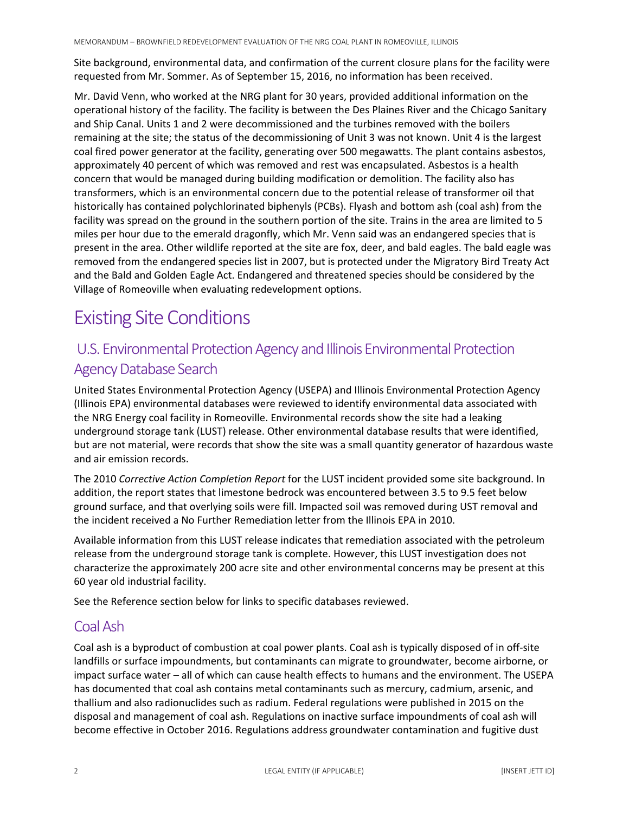Site background, environmental data, and confirmation of the current closure plans for the facility were requested from Mr. Sommer. As of September 15, 2016, no information has been received.

Mr. David Venn, who worked at the NRG plant for 30 years, provided additional information on the operational history of the facility. The facility is between the Des Plaines River and the Chicago Sanitary and Ship Canal. Units 1 and 2 were decommissioned and the turbines removed with the boilers remaining at the site; the status of the decommissioning of Unit 3 was not known. Unit 4 is the largest coal fired power generator at the facility, generating over 500 megawatts. The plant contains asbestos, approximately 40 percent of which was removed and rest was encapsulated. Asbestos is a health concern that would be managed during building modification or demolition. The facility also has transformers, which is an environmental concern due to the potential release of transformer oil that historically has contained polychlorinated biphenyls (PCBs). Flyash and bottom ash (coal ash) from the facility was spread on the ground in the southern portion of the site. Trains in the area are limited to 5 miles per hour due to the emerald dragonfly, which Mr. Venn said was an endangered species that is present in the area. Other wildlife reported at the site are fox, deer, and bald eagles. The bald eagle was removed from the endangered species list in 2007, but is protected under the Migratory Bird Treaty Act and the Bald and Golden Eagle Act. Endangered and threatened species should be considered by the Village of Romeoville when evaluating redevelopment options.

## Existing Site Conditions

### U.S. Environmental Protection Agency and Illinois Environmental Protection Agency Database Search

United States Environmental Protection Agency (USEPA) and Illinois Environmental Protection Agency (Illinois EPA) environmental databases were reviewed to identify environmental data associated with the NRG Energy coal facility in Romeoville. Environmental records show the site had a leaking underground storage tank (LUST) release. Other environmental database results that were identified, but are not material, were records that show the site was a small quantity generator of hazardous waste and air emission records.

The 2010 *Corrective Action Completion Report* for the LUST incident provided some site background. In addition, the report states that limestone bedrock was encountered between 3.5 to 9.5 feet below ground surface, and that overlying soils were fill. Impacted soil was removed during UST removal and the incident received a No Further Remediation letter from the Illinois EPA in 2010.

Available information from this LUST release indicates that remediation associated with the petroleum release from the underground storage tank is complete. However, this LUST investigation does not characterize the approximately 200 acre site and other environmental concerns may be present at this 60 year old industrial facility.

See the Reference section below for links to specific databases reviewed.

#### Coal Ash

Coal ash is a byproduct of combustion at coal power plants. Coal ash is typically disposed of in off-site landfills or surface impoundments, but contaminants can migrate to groundwater, become airborne, or impact surface water – all of which can cause health effects to humans and the environment. The USEPA has documented that coal ash contains metal contaminants such as mercury, cadmium, arsenic, and thallium and also radionuclides such as radium. Federal regulations were published in 2015 on the disposal and management of coal ash. Regulations on inactive surface impoundments of coal ash will become effective in October 2016. Regulations address groundwater contamination and fugitive dust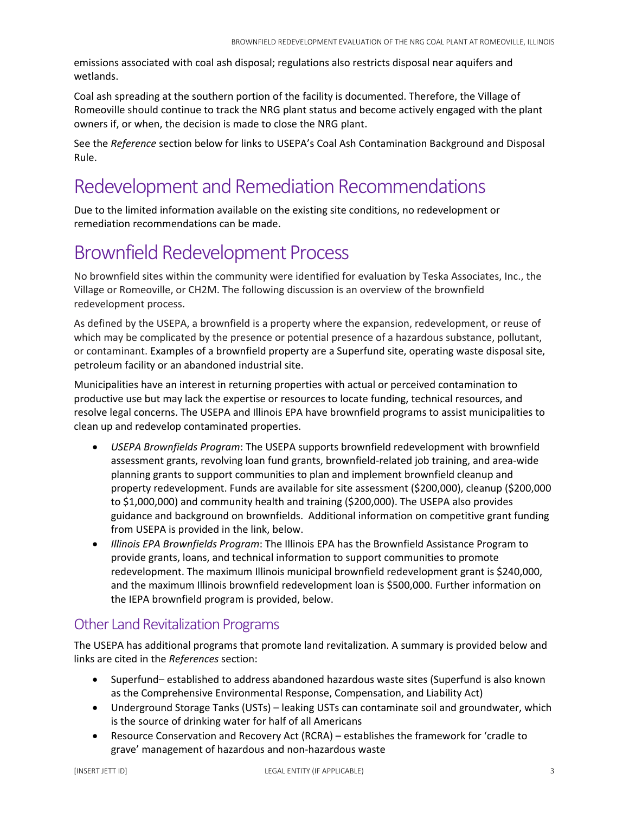emissions associated with coal ash disposal; regulations also restricts disposal near aquifers and wetlands.

Coal ash spreading at the southern portion of the facility is documented. Therefore, the Village of Romeoville should continue to track the NRG plant status and become actively engaged with the plant owners if, or when, the decision is made to close the NRG plant.

See the *Reference* section below for links to USEPA's Coal Ash Contamination Background and Disposal Rule.

## Redevelopment and Remediation Recommendations

Due to the limited information available on the existing site conditions, no redevelopment or remediation recommendations can be made.

## Brownfield Redevelopment Process

No brownfield sites within the community were identified for evaluation by Teska Associates, Inc., the Village or Romeoville, or CH2M. The following discussion is an overview of the brownfield redevelopment process.

As defined by the USEPA, a brownfield is a property where the expansion, redevelopment, or reuse of which may be complicated by the presence or potential presence of a hazardous substance, pollutant, or contaminant. Examples of a brownfield property are a Superfund site, operating waste disposal site, petroleum facility or an abandoned industrial site.

Municipalities have an interest in returning properties with actual or perceived contamination to productive use but may lack the expertise or resources to locate funding, technical resources, and resolve legal concerns. The USEPA and Illinois EPA have brownfield programs to assist municipalities to clean up and redevelop contaminated properties.

- *USEPA Brownfields Program*: The USEPA supports brownfield redevelopment with brownfield assessment grants, revolving loan fund grants, brownfield-related job training, and area-wide planning grants to support communities to plan and implement brownfield cleanup and property redevelopment. Funds are available for site assessment (\$200,000), cleanup (\$200,000 to \$1,000,000) and community health and training (\$200,000). The USEPA also provides guidance and background on brownfields. Additional information on competitive grant funding from USEPA is provided in the link, below.
- *Illinois EPA Brownfields Program*: The Illinois EPA has the Brownfield Assistance Program to provide grants, loans, and technical information to support communities to promote redevelopment. The maximum Illinois municipal brownfield redevelopment grant is \$240,000, and the maximum Illinois brownfield redevelopment loan is \$500,000. Further information on the IEPA brownfield program is provided, below.

#### Other Land Revitalization Programs

The USEPA has additional programs that promote land revitalization. A summary is provided below and links are cited in the *References* section:

- Superfund– established to address abandoned hazardous waste sites (Superfund is also known as the Comprehensive Environmental Response, Compensation, and Liability Act)
- Underground Storage Tanks (USTs) leaking USTs can contaminate soil and groundwater, which is the source of drinking water for half of all Americans
- Resource Conservation and Recovery Act (RCRA) establishes the framework for 'cradle to grave' management of hazardous and non-hazardous waste